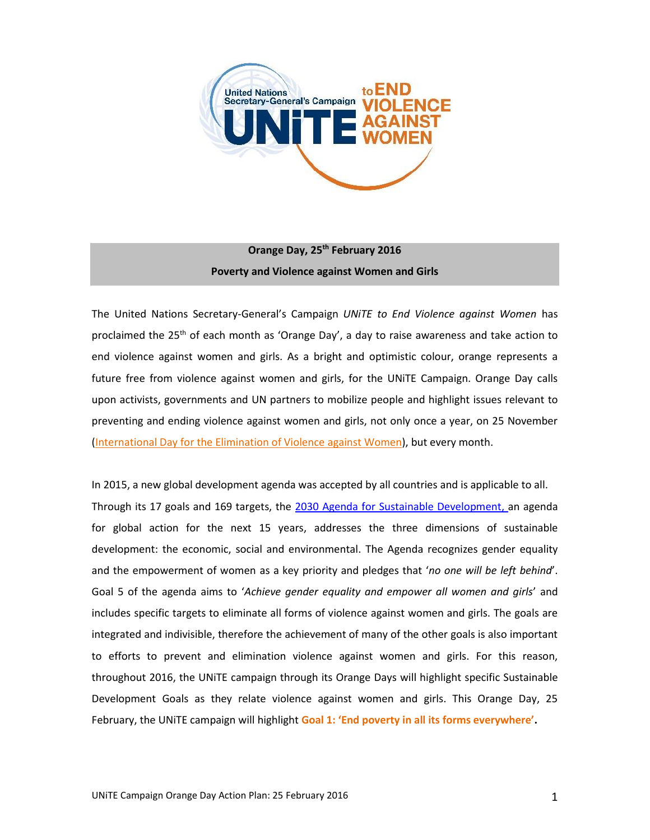

# **Orange Day, 25th February 2016 Poverty and Violence against Women and Girls**

The United Nations Secretary-General's Campaign *UNiTE to End Violence against Women* has proclaimed the 25<sup>th</sup> of each month as 'Orange Day', a day to raise awareness and take action to end violence against women and girls. As a bright and optimistic colour, orange represents a future free from violence against women and girls, for the UNiTE Campaign. Orange Day calls upon activists, governments and UN partners to mobilize people and highlight issues relevant to preventing and ending violence against women and girls, not only once a year, on 25 November [\(International Day for the Elimination of Violence](http://www.unwomen.org/en/news/in-focus/end-violence-against-women) against Women), but every month.

In 2015, a new global development agenda was accepted by all countries and is applicable to all. Through its 17 goals and 169 targets, the [2030 Agenda for Sustainable Development,](http://www.un.org/ga/search/view_doc.asp?symbol=A/69/L.85&Lang=E) an agenda for global action for the next 15 years, addresses the three dimensions of sustainable development: the economic, social and environmental. The Agenda recognizes gender equality and the empowerment of women as a key priority and pledges that '*no one will be left behind*'. Goal 5 of the agenda aims to '*Achieve gender equality and empower all women and girls*' and includes specific targets to eliminate all forms of violence against women and girls. The goals are integrated and indivisible, therefore the achievement of many of the other goals is also important to efforts to prevent and elimination violence against women and girls. For this reason, throughout 2016, the UNiTE campaign through its Orange Days will highlight specific Sustainable Development Goals as they relate violence against women and girls. This Orange Day, 25 February, the UNiTE campaign will highlight **Goal 1: 'End poverty in all its forms everywhere'.**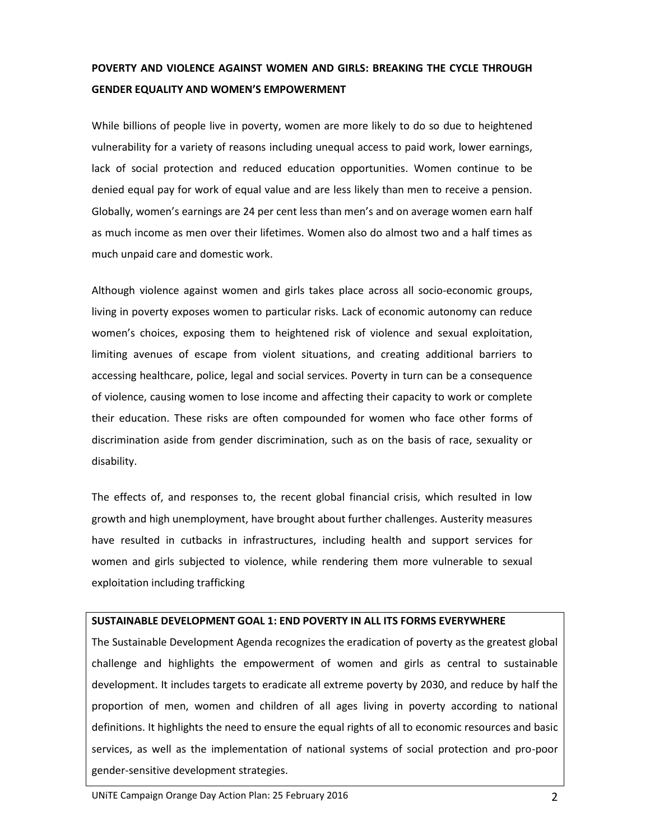# **POVERTY AND VIOLENCE AGAINST WOMEN AND GIRLS: BREAKING THE CYCLE THROUGH GENDER EQUALITY AND WOMEN'S EMPOWERMENT**

While billions of people live in poverty, women are more likely to do so due to heightened vulnerability for a variety of reasons including unequal access to paid work, lower earnings, lack of social protection and reduced education opportunities. Women continue to be denied equal pay for work of equal value and are less likely than men to receive a pension. Globally, women's earnings are 24 per cent less than men's and on average women earn half as much income as men over their lifetimes. Women also do almost two and a half times as much unpaid care and domestic work.

Although violence against women and girls takes place across all socio-economic groups, living in poverty exposes women to particular risks. Lack of economic autonomy can reduce women's choices, exposing them to heightened risk of violence and sexual exploitation, limiting avenues of escape from violent situations, and creating additional barriers to accessing healthcare, police, legal and social services. Poverty in turn can be a consequence of violence, causing women to lose income and affecting their capacity to work or complete their education. These risks are often compounded for women who face other forms of discrimination aside from gender discrimination, such as on the basis of race, sexuality or disability.

The effects of, and responses to, the recent global financial crisis, which resulted in low growth and high unemployment, have brought about further challenges. Austerity measures have resulted in cutbacks in infrastructures, including health and support services for women and girls subjected to violence, while rendering them more vulnerable to sexual exploitation including trafficking

#### **SUSTAINABLE DEVELOPMENT GOAL 1: END POVERTY IN ALL ITS FORMS EVERYWHERE**

The Sustainable Development Agenda recognizes the eradication of poverty as the greatest global challenge and highlights the empowerment of women and girls as central to sustainable development. It includes targets to eradicate all extreme poverty by 2030, and reduce by half the proportion of men, women and children of all ages living in poverty according to national definitions. It highlights the need to ensure the equal rights of all to economic resources and basic services, as well as the implementation of national systems of social protection and pro-poor gender-sensitive development strategies.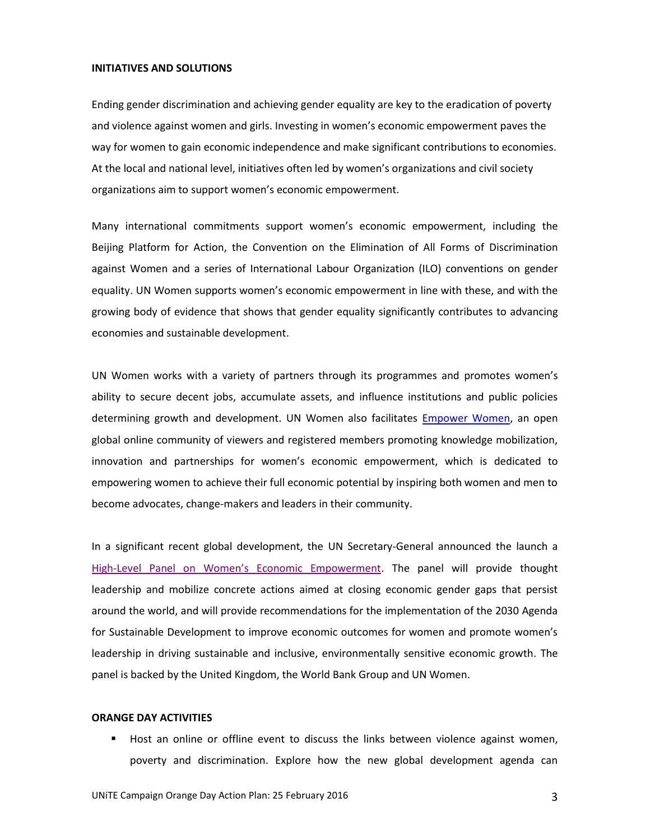#### **INITIATIVES AND SOLUTIONS**

Ending gender discrimination and achieving gender equality are key to the eradication of poverty and violence against women and girls. Investing in women's economic empowerment paves the way for women to gain economic independence and make significant contributions to economies. At the local and national level, initiatives often led by women's organizations and civil society organizations aim to support women's economic empowerment.

Many international commitments support women's economic empowerment, including the Beijing Platform for Action, the Convention on the Elimination of All Forms of Discrimination against Women and a series of International Labour Organization (ILO) conventions on gender equality. UN Women supports women's economic empowerment in line with these, and with the growing body of evidence that shows that gender equality significantly contributes to advancing economies and sustainable development.

UN Women works with a variety of partners through its programmes and promotes women's ability to secure decent jobs, accumulate assets, and influence institutions and public policies determining growth and development. UN Women also facilitates **Empower Women**, an open global online community of viewers and registered members promoting knowledge mobilization, innovation and partnerships for women's economic empowerment, which is dedicated to empowering women to achieve their full economic potential by inspiring both women and men to become advocates, change-makers and leaders in their community.

In a significant recent global development, the UN Secretary-General announced the launch a High-[Level Panel on Women's Economic Empowerment](http://www.empowerwomen.org/es/news/first-ever-high-level-panel-on-womens-economic-empowerment). The panel will provide thought leadership and mobilize concrete actions aimed at closing economic gender gaps that persist around the world, and will provide recommendations for the implementation of the 2030 Agenda for Sustainable Development to improve economic outcomes for women and promote women's leadership in driving sustainable and inclusive, environmentally sensitive economic growth. The panel is backed by the United Kingdom, the World Bank Group and UN Women.

#### **ORANGE DAY ACTIVITIES**

 Host an online or offline event to discuss the links between violence against women, poverty and discrimination. Explore how the new global development agenda can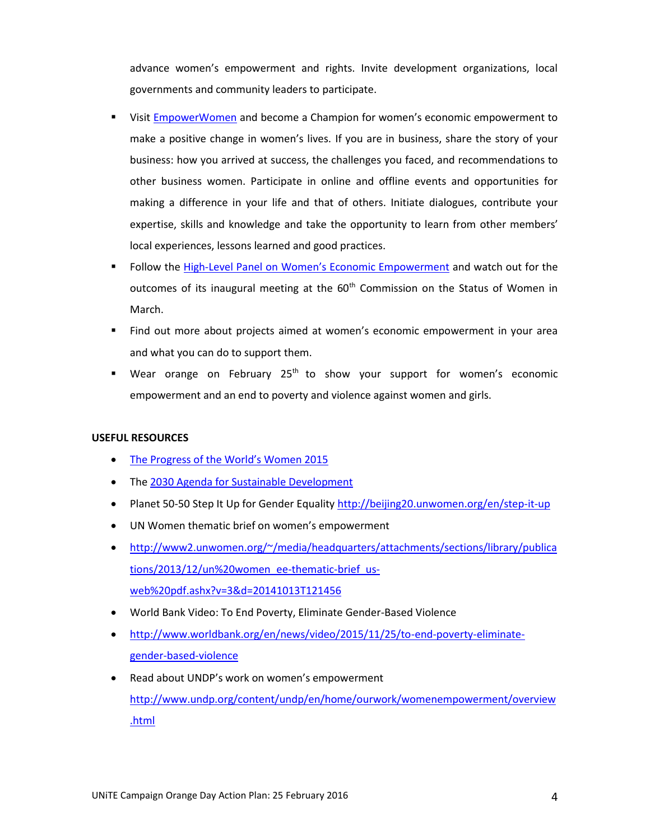advance women's empowerment and rights. Invite development organizations, local governments and community leaders to participate.

- Visit [EmpowerWomen](http://www.empowerwomen.org/en) and become a Champion for women's economic empowerment to make a positive change in women's lives. If you are in business, share the story of your business: how you arrived at success, the challenges you faced, and recommendations to other business women. Participate in online and offline events and opportunities for making a difference in your life and that of others. Initiate dialogues, contribute your expertise, skills and knowledge and take the opportunity to learn from other members' local experiences, lessons learned and good practices.
- Follow the High-[Level Panel on Women's Economic Empowerment](http://www.empowerwomen.org/es/news/first-ever-high-level-panel-on-womens-economic-empowerment) and watch out for the outcomes of its inaugural meeting at the  $60<sup>th</sup>$  Commission on the Status of Women in March.
- Find out more about projects aimed at women's economic empowerment in your area and what you can do to support them.
- Wear orange on February 25<sup>th</sup> to show your support for women's economic empowerment and an end to poverty and violence against women and girls.

### **USEFUL RESOURCES**

- [The Progress of the World's W](http://www.unwomen.org/en/digital-library/publications/2015/4/progress-of-the-worlds-women-2015)omen 2015
- Th[e 2030 Agenda for Sustainable Development](http://www.un.org/ga/search/view_doc.asp?symbol=A/69/L.85&Lang=E)
- Planet 50-50 Step It Up for Gender Equality<http://beijing20.unwomen.org/en/step-it-up>
- UN Women thematic brief on women's empowerment
- [http://www2.unwomen.org/~/media/headquarters/attachments/sections/library/publica](http://www2.unwomen.org/~/media/headquarters/attachments/sections/library/publications/2013/12/un%20women_ee-thematic-brief_us-web%20pdf.ashx?v=3&d=20141013T121456) [tions/2013/12/un%20women\\_ee-thematic-brief\\_us](http://www2.unwomen.org/~/media/headquarters/attachments/sections/library/publications/2013/12/un%20women_ee-thematic-brief_us-web%20pdf.ashx?v=3&d=20141013T121456)[web%20pdf.ashx?v=3&d=20141013T121456](http://www2.unwomen.org/~/media/headquarters/attachments/sections/library/publications/2013/12/un%20women_ee-thematic-brief_us-web%20pdf.ashx?v=3&d=20141013T121456)
- World Bank Video: To End Poverty, Eliminate Gender-Based Violence
- [http://www.worldbank.org/en/news/video/2015/11/25/to-end-poverty-eliminate](http://www.worldbank.org/en/news/video/2015/11/25/to-end-poverty-eliminate-gender-based-violence)[gender-based-violence](http://www.worldbank.org/en/news/video/2015/11/25/to-end-poverty-eliminate-gender-based-violence)
- Read about UNDP's work on women's empowerment [http://www.undp.org/content/undp/en/home/ourwork/womenempowerment/overview](http://www.undp.org/content/undp/en/home/ourwork/womenempowerment/overview.html) [.html](http://www.undp.org/content/undp/en/home/ourwork/womenempowerment/overview.html)